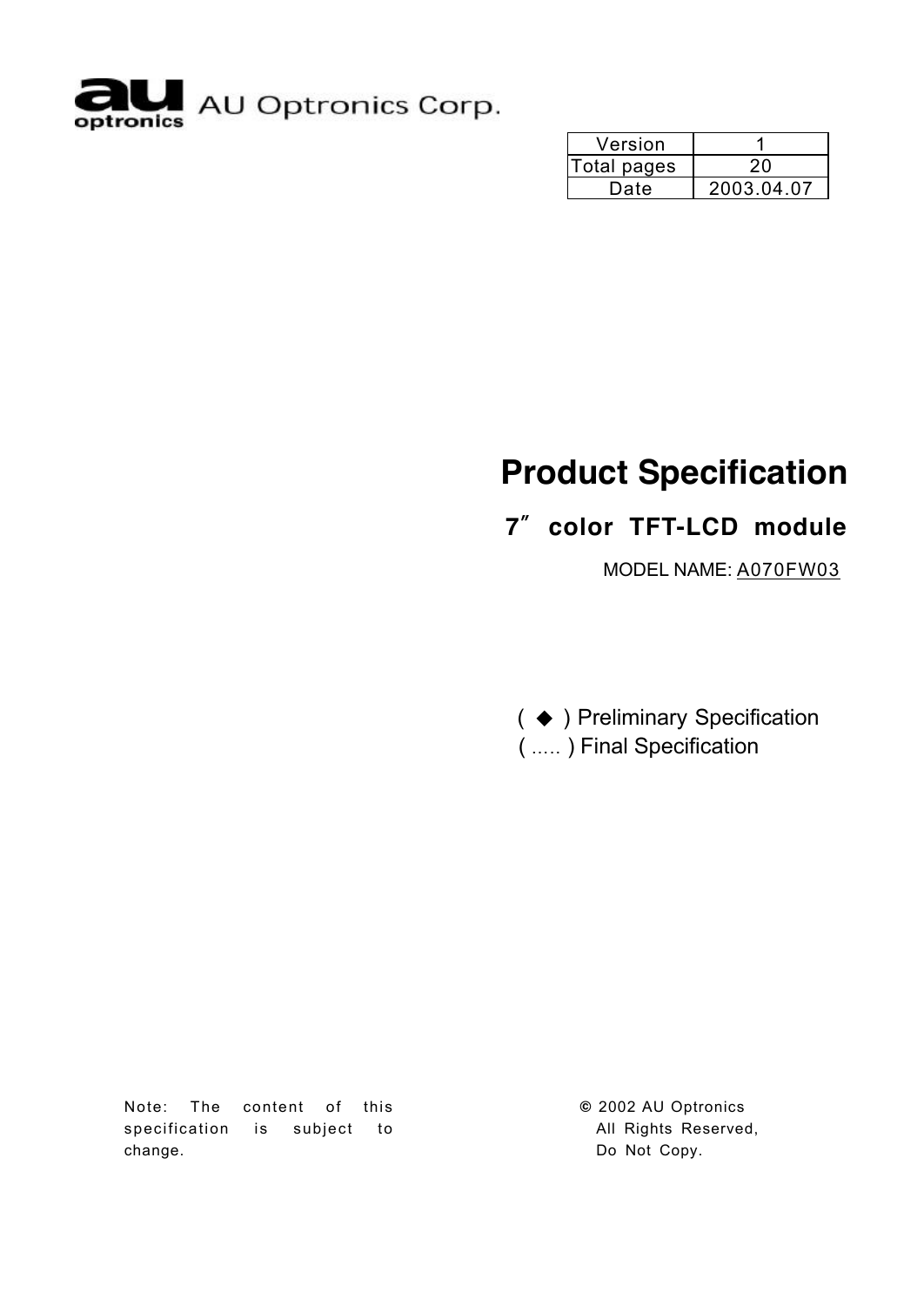

| Version     |            |
|-------------|------------|
| Total pages |            |
| Date        | 2003.04.07 |

# **Product Specification**

# **7**〞**color TFT-LCD module**

MODEL NAME: A070FW03

( ◆ ) Preliminary Specification ( ….. ) Final Specification

Note: The content of this specification is subject to change.

**©** 2002 AU Optronics All Rights Reserved, Do Not Copy.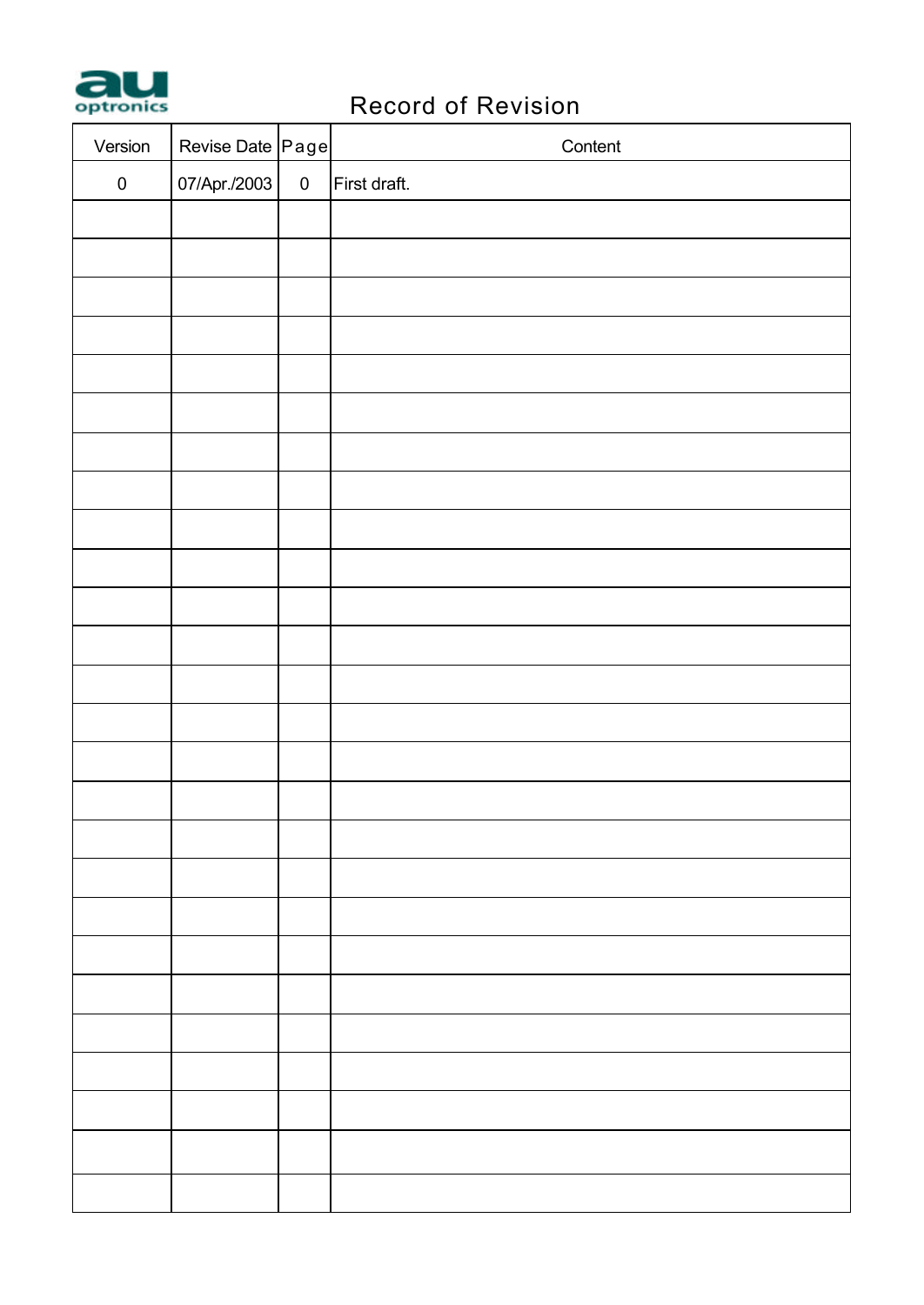

# **PRECORD RECORD OF REVISION**

| Version   | Revise Date Page |           | Content      |
|-----------|------------------|-----------|--------------|
| $\pmb{0}$ | 07/Apr./2003     | $\pmb{0}$ | First draft. |
|           |                  |           |              |
|           |                  |           |              |
|           |                  |           |              |
|           |                  |           |              |
|           |                  |           |              |
|           |                  |           |              |
|           |                  |           |              |
|           |                  |           |              |
|           |                  |           |              |
|           |                  |           |              |
|           |                  |           |              |
|           |                  |           |              |
|           |                  |           |              |
|           |                  |           |              |
|           |                  |           |              |
|           |                  |           |              |
|           |                  |           |              |
|           |                  |           |              |
|           |                  |           |              |
|           |                  |           |              |
|           |                  |           |              |
|           |                  |           |              |
|           |                  |           |              |
|           |                  |           |              |
|           |                  |           |              |
|           |                  |           |              |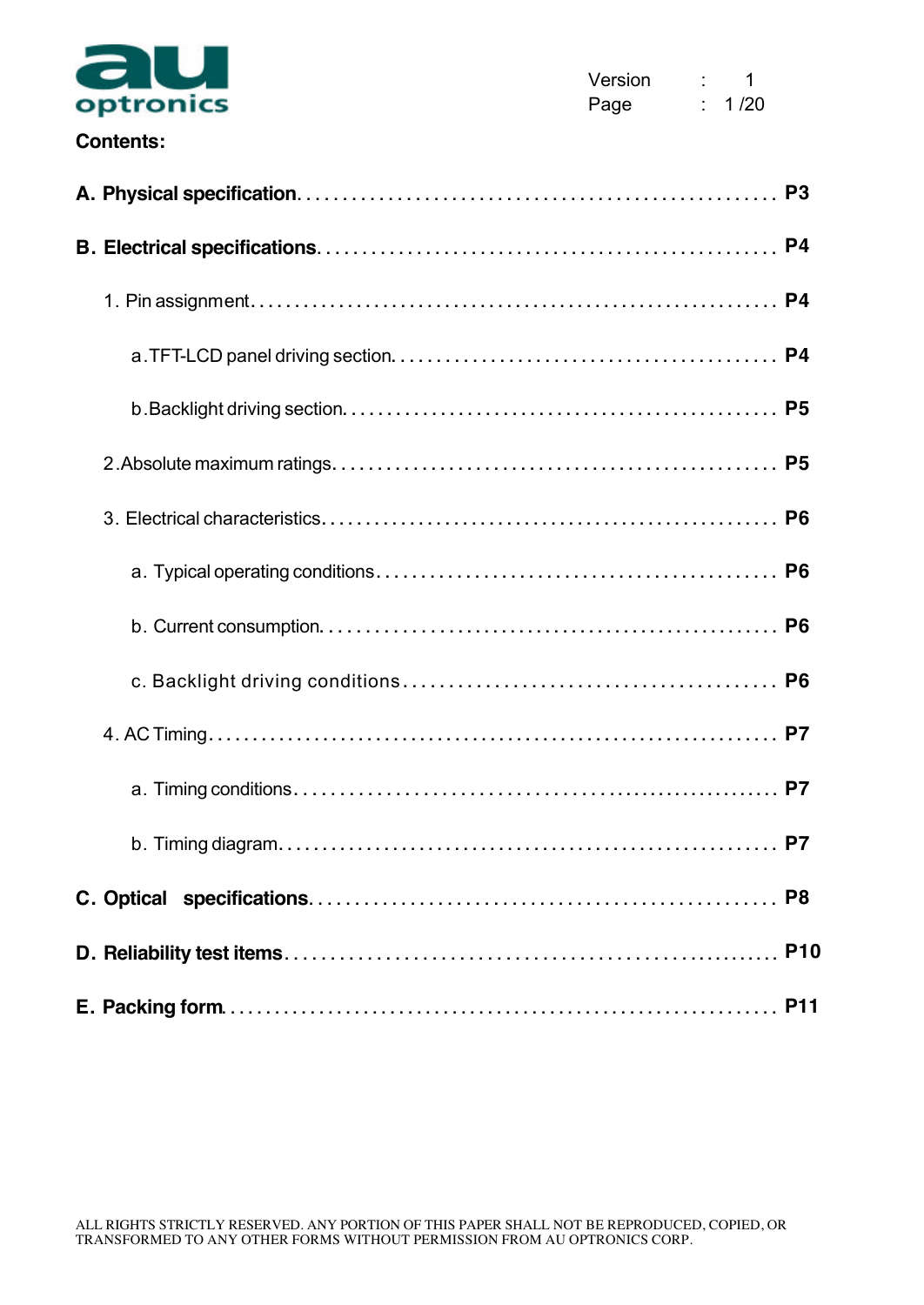

### **Contents:**

|  | <b>P11</b> |
|--|------------|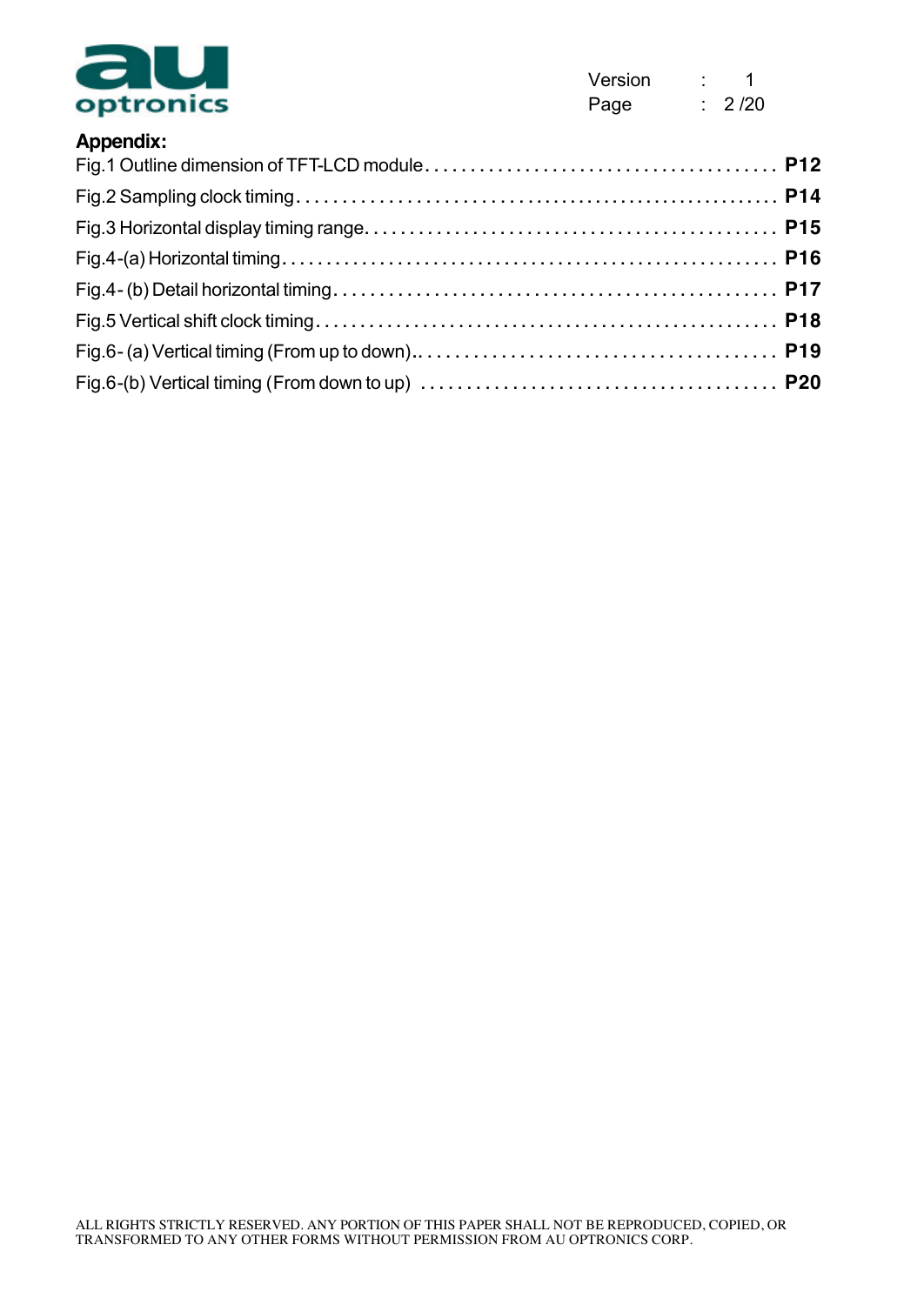

Version : 1 Page : 2/20

| <b>Appendix:</b> |  |
|------------------|--|
|                  |  |
|                  |  |
|                  |  |
|                  |  |
|                  |  |
|                  |  |
|                  |  |
|                  |  |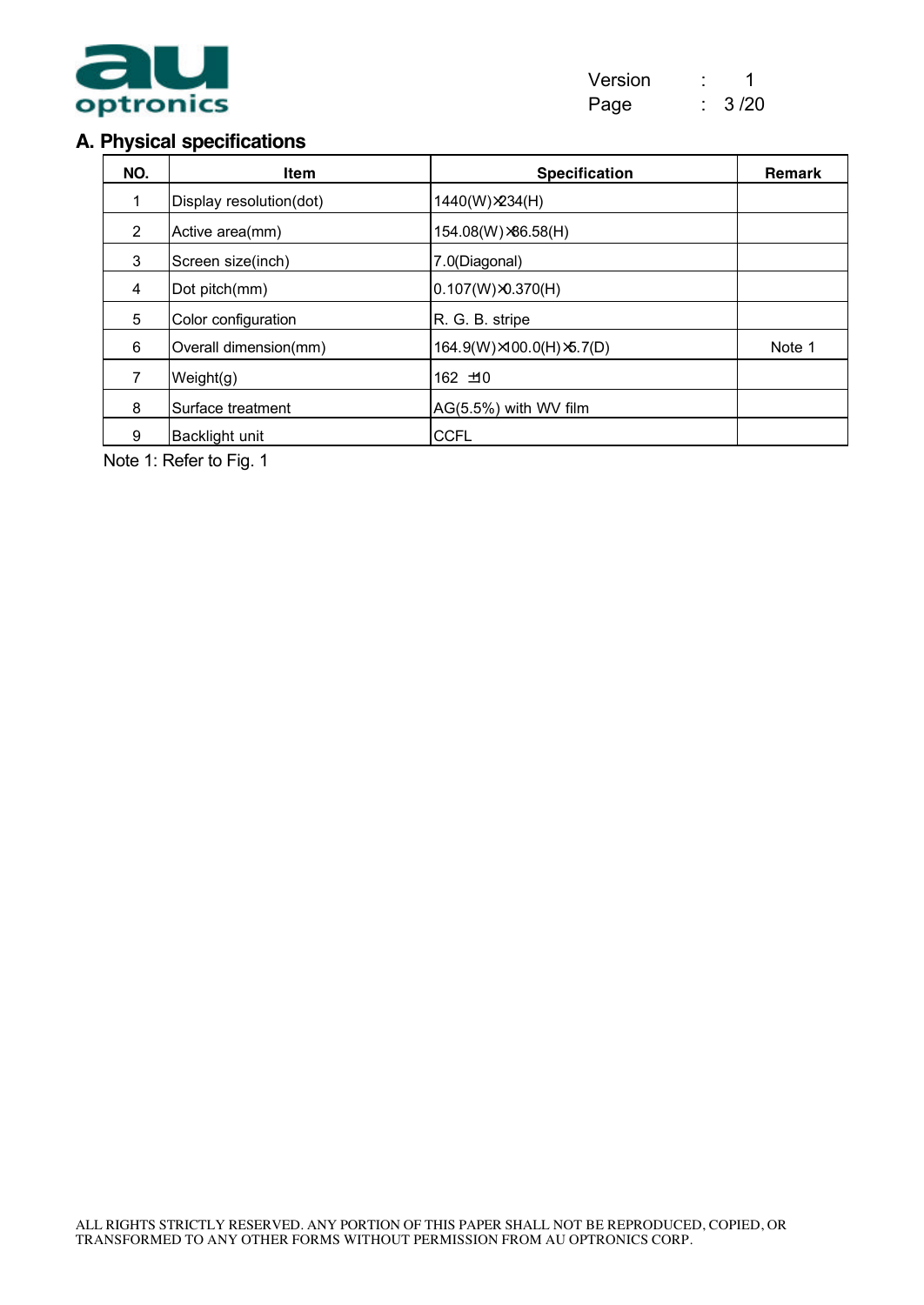

## **A. Physical specifications**

| NO. | <b>Item</b>             | <b>Specification</b>       | Remark |
|-----|-------------------------|----------------------------|--------|
|     | Display resolution(dot) | 1440(W) × 234(H)           |        |
| 2   | Active area(mm)         | 154.08(W) × 86.58(H)       |        |
| 3   | Screen size(inch)       | 7.0(Diagonal)              |        |
| 4   | Dot pitch(mm)           | $0.107(W) \times 0.370(H)$ |        |
| 5   | Color configuration     | R. G. B. stripe            |        |
| 6   | Overall dimension(mm)   | 164.9(W)×100.0(H)×5.7(D)   | Note 1 |
|     | Weight(g)               | 162 ±10                    |        |
| 8   | Surface treatment       | AG(5.5%) with WV film      |        |
| 9   | Backlight unit          | <b>CCFL</b>                |        |

Note 1: Refer to Fig. 1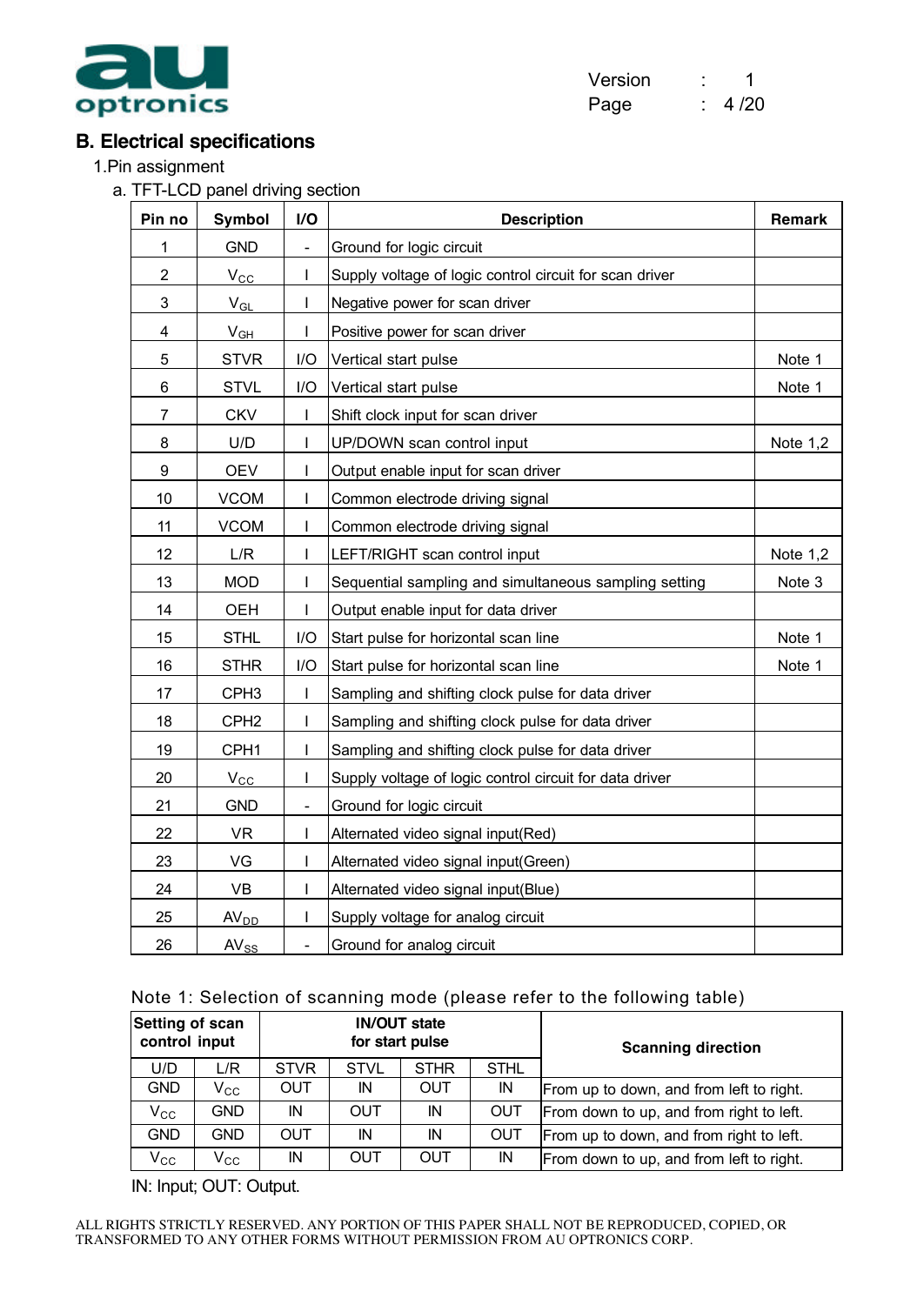

| Version | 1    |
|---------|------|
| Page    | 4/20 |

## **B. Electrical specifications**

1.Pin assignment

a. TFT-LCD panel driving section

| Pin no                  | Symbol           | $\mathsf{I}/\mathsf{O}$      | <b>Description</b>                                      | Remark   |
|-------------------------|------------------|------------------------------|---------------------------------------------------------|----------|
| 1                       | <b>GND</b>       | $\frac{1}{2}$                | Ground for logic circuit                                |          |
| $\overline{2}$          | $V_{\rm CC}$     |                              | Supply voltage of logic control circuit for scan driver |          |
| 3                       | $V_{GL}$         | I                            | Negative power for scan driver                          |          |
| $\overline{\mathbf{4}}$ | $V_{GH}$         | T                            | Positive power for scan driver                          |          |
| 5                       | <b>STVR</b>      | I/O                          | Vertical start pulse                                    | Note 1   |
| 6                       | <b>STVL</b>      | I/O                          | Vertical start pulse                                    | Note 1   |
| 7                       | <b>CKV</b>       |                              | Shift clock input for scan driver                       |          |
| 8                       | U/D              |                              | UP/DOWN scan control input                              | Note 1,2 |
| 9                       | <b>OEV</b>       | ı                            | Output enable input for scan driver                     |          |
| 10                      | <b>VCOM</b>      |                              | Common electrode driving signal                         |          |
| 11                      | <b>VCOM</b>      | I                            | Common electrode driving signal                         |          |
| 12                      | L/R              |                              | LEFT/RIGHT scan control input                           | Note 1,2 |
| 13                      | <b>MOD</b>       |                              | Sequential sampling and simultaneous sampling setting   | Note 3   |
| 14                      | OEH              | ı                            | Output enable input for data driver                     |          |
| 15                      | <b>STHL</b>      | I/O                          | Start pulse for horizontal scan line                    | Note 1   |
| 16                      | <b>STHR</b>      | I/O                          | Start pulse for horizontal scan line                    | Note 1   |
| 17                      | CPH <sub>3</sub> |                              | Sampling and shifting clock pulse for data driver       |          |
| 18                      | CPH <sub>2</sub> |                              | Sampling and shifting clock pulse for data driver       |          |
| 19                      | CPH <sub>1</sub> | I                            | Sampling and shifting clock pulse for data driver       |          |
| 20                      | $V_{\rm CC}$     | ı                            | Supply voltage of logic control circuit for data driver |          |
| 21                      | <b>GND</b>       | $\blacksquare$               | Ground for logic circuit                                |          |
| 22                      | <b>VR</b>        | I                            | Alternated video signal input(Red)                      |          |
| 23                      | VG               |                              | Alternated video signal input(Green)                    |          |
| 24                      | VB               | I                            | Alternated video signal input(Blue)                     |          |
| 25                      | AV <sub>DD</sub> | ı                            | Supply voltage for analog circuit                       |          |
| 26                      | $AV_{SS}$        | $\qquad \qquad \blacksquare$ | Ground for analog circuit                               |          |

#### Note 1: Selection of scanning mode (please refer to the following table)

| Setting of scan<br>control input |                   |             |             | <b>IN/OUT state</b><br>for start pulse |             | <b>Scanning direction</b>                |  |  |
|----------------------------------|-------------------|-------------|-------------|----------------------------------------|-------------|------------------------------------------|--|--|
| U/D                              | L/R               | <b>STVR</b> | <b>STVL</b> | <b>STHR</b>                            | <b>STHL</b> |                                          |  |  |
| <b>GND</b>                       | $\mathsf{V_{CC}}$ | <b>OUT</b>  | IN          | OUT                                    | IN          | From up to down, and from left to right. |  |  |
| $V_{\rm CC}$                     | <b>GND</b>        | IN          | <b>OUT</b>  | IN                                     | <b>OUT</b>  | From down to up, and from right to left. |  |  |
| <b>GND</b>                       | <b>GND</b>        | <b>OUT</b>  | IN          | IN                                     | <b>OUT</b>  | From up to down, and from right to left. |  |  |
| $V_{\rm CC}$                     | $V_{\rm CC}$      | IN          | OUT         | OUT                                    | IN          | From down to up, and from left to right. |  |  |

IN: Input; OUT: Output.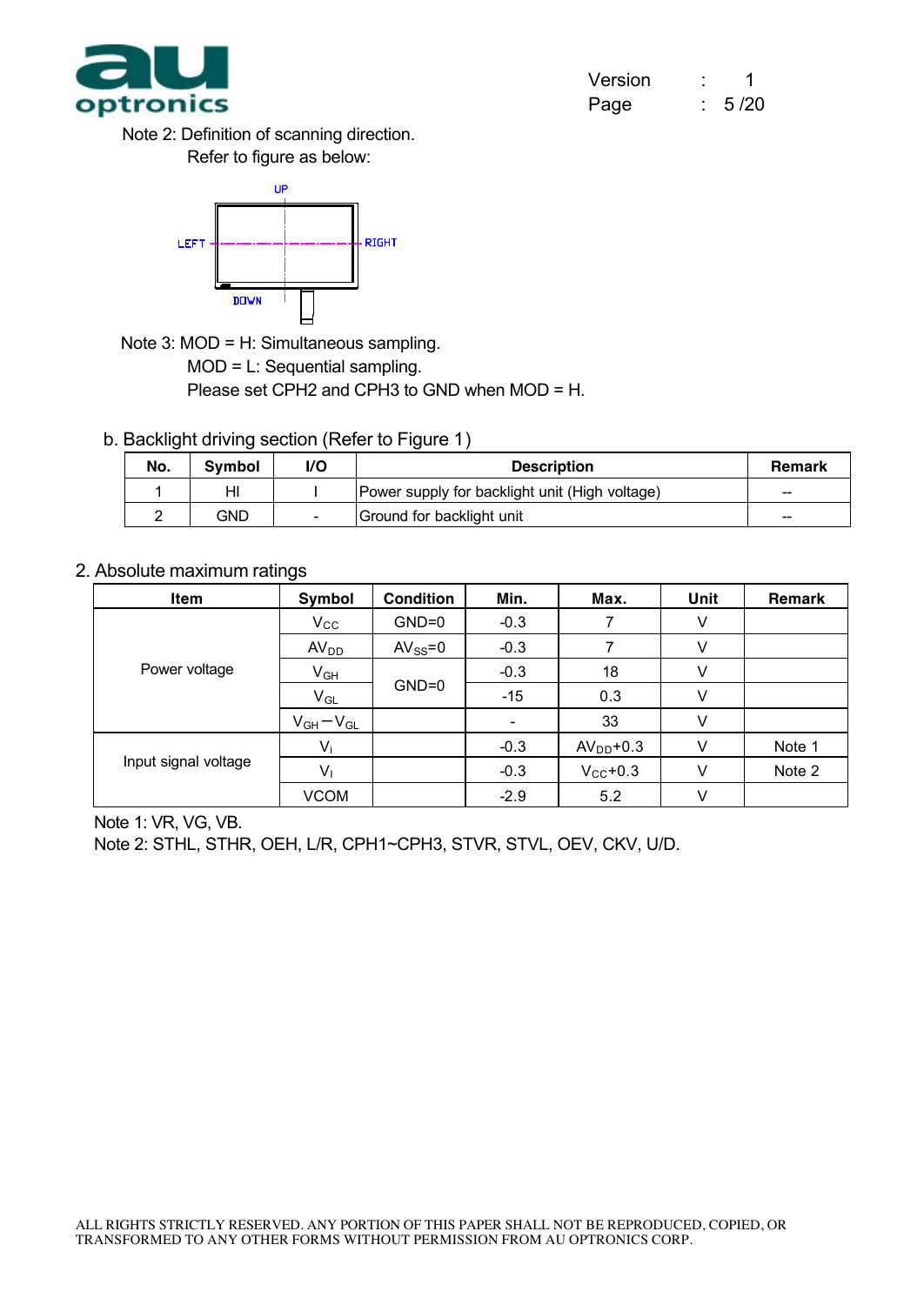

Note 2: Definition of scanning direction. Refer to figure as below:



Note 3: MOD = H: Simultaneous sampling.

MOD = L: Sequential sampling.

Please set CPH2 and CPH3 to GND when MOD = H.

b. Backlight driving section (Refer to Figure 1)

| No. | <b>Symbol</b> | I/O                      | <b>Description</b>                             | <b>Remark</b> |
|-----|---------------|--------------------------|------------------------------------------------|---------------|
|     | HI            |                          | Power supply for backlight unit (High voltage) | $-$           |
|     | GND           | $\overline{\phantom{0}}$ | Ground for backlight unit                      | --            |

2. Absolute maximum ratings

| Item                 | Symbol           | <b>Condition</b> | Min.   | Max.                 | Unit | Remark |
|----------------------|------------------|------------------|--------|----------------------|------|--------|
|                      | $V_{\rm CC}$     | $GND=0$          | $-0.3$ |                      | V    |        |
|                      | AV <sub>DD</sub> | $AV_{SS} = 0$    | $-0.3$ |                      |      |        |
| Power voltage        | $V_{GH}$         |                  | $-0.3$ | 18                   |      |        |
|                      | $V_{GL}$         | $GND=0$          | $-15$  | 0.3                  |      |        |
|                      | $V_{GH}-V_{GL}$  |                  |        | 33                   | V    |        |
|                      | $V_i$            |                  | $-0.3$ | $AVDD+0.3$           |      | Note 1 |
| Input signal voltage | $V_{1}$          |                  | $-0.3$ | $V_{\text{CC}}$ +0.3 | V    | Note 2 |
|                      | <b>VCOM</b>      |                  | $-2.9$ | 5.2                  |      |        |

Note 1: VR, VG, VB.

Note 2: STHL, STHR, OEH, L/R, CPH1~CPH3, STVR, STVL, OEV, CKV, U/D.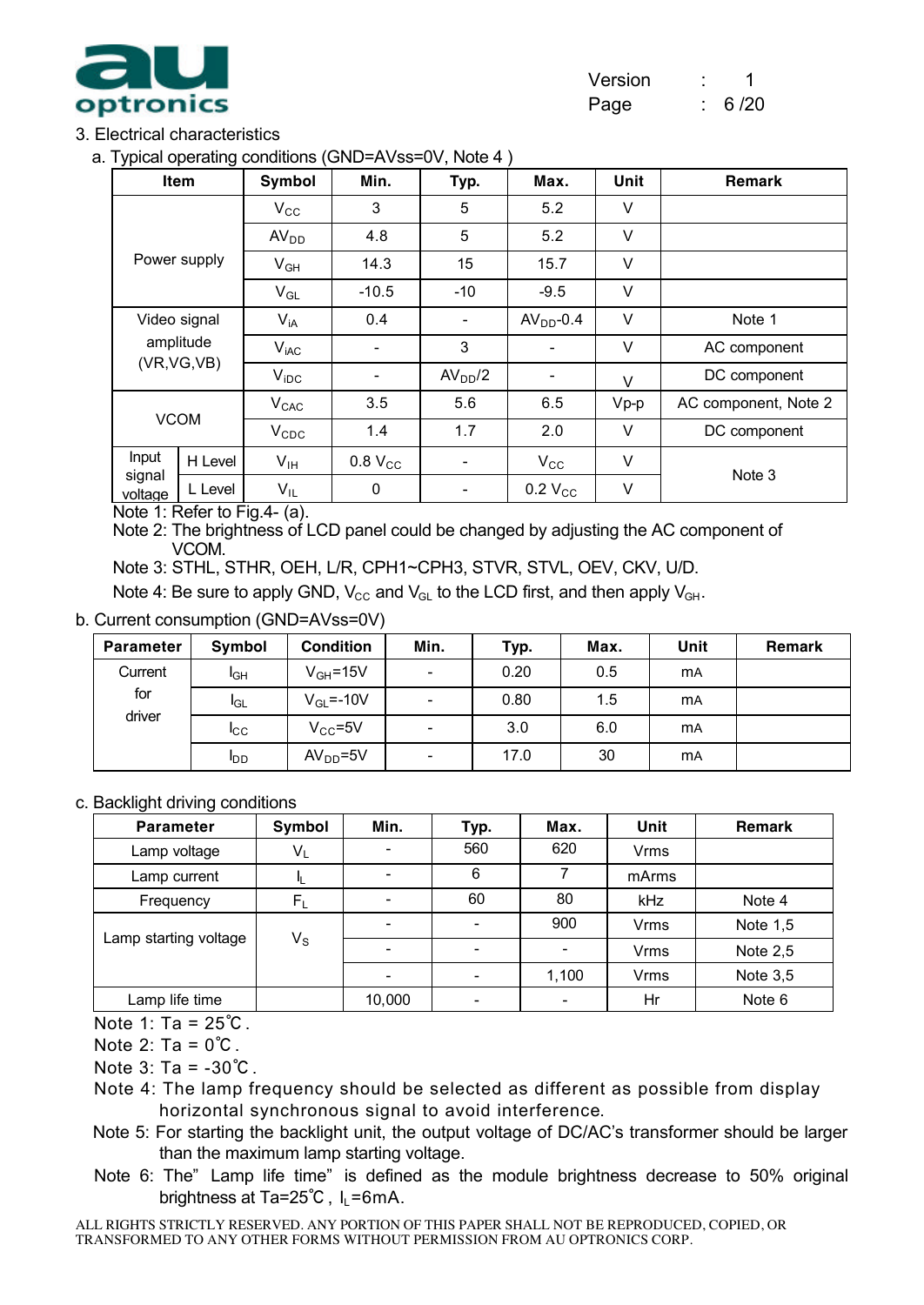

### 3. Electrical characteristics

a. Typical operating conditions (GND=AVss=0V, Note 4 )

| <b>Item</b>       |              | Symbol           | Min.                     | Typ.                     | Max.                     | <b>Unit</b> | <b>Remark</b>        |
|-------------------|--------------|------------------|--------------------------|--------------------------|--------------------------|-------------|----------------------|
|                   |              | $V_{\rm CC}$     | 3                        | 5                        | 5.2                      | V           |                      |
|                   |              | AV <sub>DD</sub> | 4.8                      | 5                        | 5.2                      | $\vee$      |                      |
|                   | Power supply | $V_{GH}$         | 14.3                     | 15                       | 15.7                     | $\vee$      |                      |
|                   |              | $V_{GL}$         | $-10.5$                  | $-10$                    | $-9.5$                   | V           |                      |
| Video signal      |              | $V_{iA}$         | 0.4                      | $\overline{\phantom{0}}$ | $AVDD-0.4$               | V           | Note 1               |
|                   | amplitude    | V <sub>iAC</sub> |                          | 3                        |                          | V           | AC component         |
| (VR, VG, VB)      |              | $V_{\text{IDC}}$ | $\overline{\phantom{a}}$ | AV <sub>DD</sub> /2      | $\overline{\phantom{a}}$ | $\vee$      | DC component         |
|                   |              | V <sub>CAC</sub> | 3.5                      | 5.6                      | 6.5                      | $Vp-p$      | AC component, Note 2 |
| <b>VCOM</b>       |              | $V_{CDC}$        | 1.4                      | 1.7                      | 2.0                      | $\vee$      | DC component         |
| Input             | H Level      | $V_{IH}$         | $0.8$ $V_{CC}$           | $\overline{\phantom{a}}$ | $V_{\rm CC}$             | V           |                      |
| signal<br>voltage | L Level      | $V_{IL}$         | 0                        | ۰                        | $0.2$ $V_{CC}$           | V           | Note 3               |

Note 1: Refer to Fig.4- (a).

Note 2: The brightness of LCD panel could be changed by adjusting the AC component of VCOM.

Note 3: STHL, STHR, OEH, L/R, CPH1~CPH3, STVR, STVL, OEV, CKV, U/D.

Note 4: Be sure to apply GND,  $V_{CC}$  and  $V_{GL}$  to the LCD first, and then apply  $V_{GH}$ .

b. Current consumption (GND=AVss=0V)

| <b>Parameter</b> | Symbol          | <b>Condition</b> | Min.                     | Typ. | Max. | Unit      | <b>Remark</b> |
|------------------|-----------------|------------------|--------------------------|------|------|-----------|---------------|
| Current          | I <sub>GH</sub> | $V_{GH} = 15V$   | $\overline{\phantom{0}}$ | 0.20 | 0.5  | <b>mA</b> |               |
| for              | <b>I</b> GL     | $V_{GL} = -10V$  | $\overline{\phantom{a}}$ | 0.80 | 1.5  | <b>mA</b> |               |
| driver           | <b>I</b> CC     | $V_{CC} = 5V$    | $\overline{\phantom{a}}$ | 3.0  | 6.0  | <b>mA</b> |               |
|                  | <b>I</b> DD     | $AVDD=5V$        | $\overline{\phantom{a}}$ | 17.0 | 30   | <b>mA</b> |               |

c. Backlight driving conditions

| <b>Parameter</b>      | Symbol                  | Min.   | Typ. | Max.  | Unit        | <b>Remark</b> |
|-----------------------|-------------------------|--------|------|-------|-------------|---------------|
| Lamp voltage          | $V_{L}$                 |        | 560  | 620   | <b>Vrms</b> |               |
| Lamp current          |                         |        | 6    |       | mArms       |               |
| Frequency             | $F_L$                   |        | 60   | 80    | kHz         | Note 4        |
|                       |                         |        |      | 900   | <b>Vrms</b> | Note 1,5      |
| Lamp starting voltage | $\mathsf{V}_\mathsf{S}$ |        |      |       | <b>Vrms</b> | Note $2,5$    |
|                       |                         |        |      | 1,100 | <b>Vrms</b> | Note $3,5$    |
| Lamp life time        |                         | 10,000 |      |       | Hr          | Note 6        |

Note 1: Ta = 25℃.

Note  $2: Ta = 0^{\circ}C$ .

Note 3: Ta = -30℃.

- Note 4: The lamp frequency should be selected as different as possible from display horizontal synchronous signal to avoid interference.
- Note 5: For starting the backlight unit, the output voltage of DC/AC's transformer should be larger than the maximum lamp starting voltage.
- Note 6: The" Lamp life time" is defined as the module brightness decrease to 50% original brightness at Ta=25 $^{\circ}$ C, I<sub>L</sub>=6mA.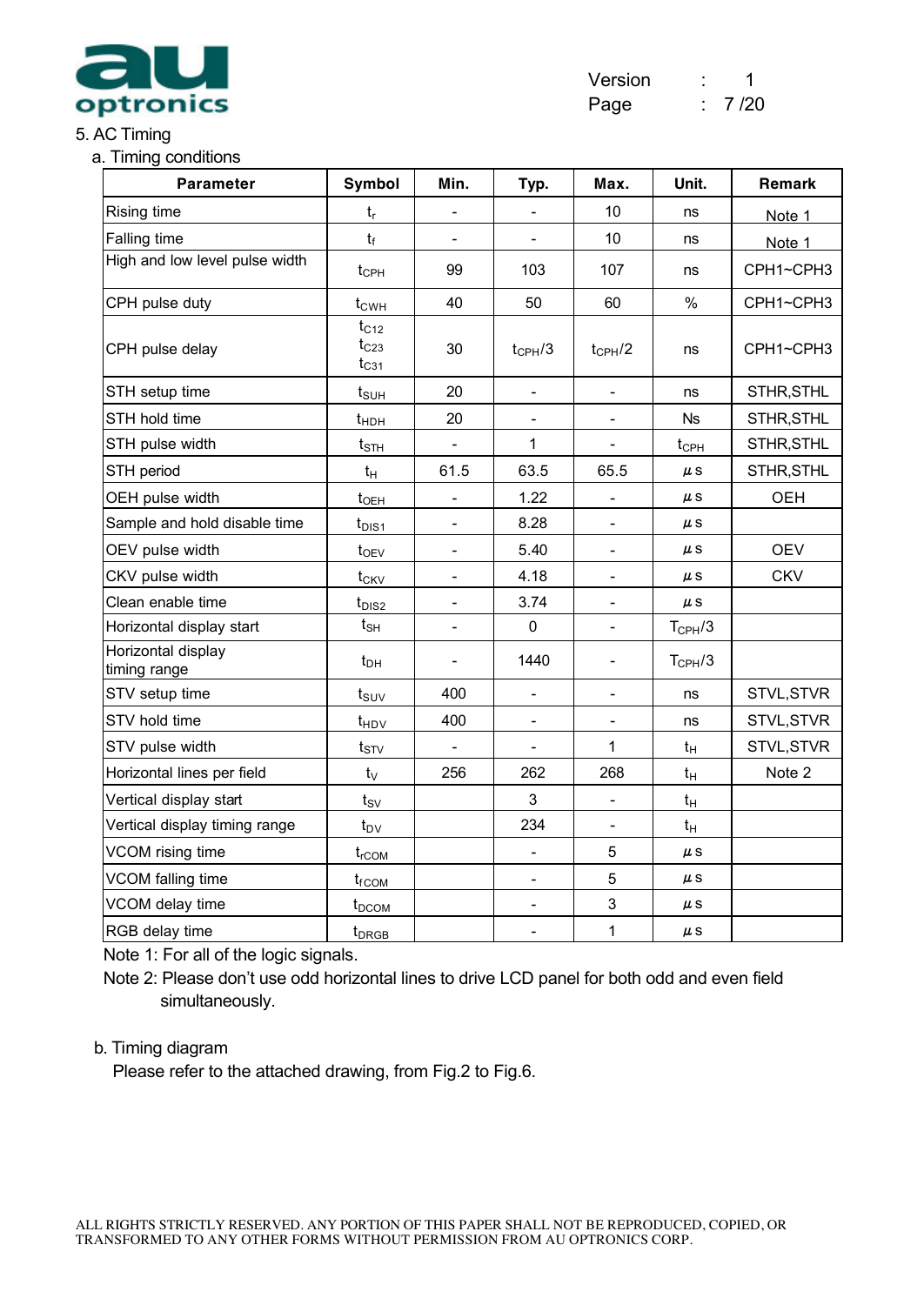

#### 5. AC Timing

a. Timing conditions

| <b>Parameter</b>                   | <b>Symbol</b>                       | Min.                     | Typ.                     | Max.                     | Unit.            | Remark     |
|------------------------------------|-------------------------------------|--------------------------|--------------------------|--------------------------|------------------|------------|
| <b>Rising time</b>                 | $t_{\sf r}$                         |                          |                          | 10                       | ns               | Note 1     |
| Falling time                       | $t_f$                               |                          |                          | 10                       | ns               | Note 1     |
| High and low level pulse width     | $t_{\text{CPH}}$                    | 99                       | 103                      | 107                      | ns               | CPH1~CPH3  |
| CPH pulse duty                     | $t_{CWH}$                           | 40                       | 50                       | 60                       | $\%$             | CPH1~CPH3  |
| CPH pulse delay                    | $t_{C12}$<br>$t_{C23}$<br>$t_{C31}$ | 30                       | $t_{\text{CPH}}/3$       | $t_{\text{CPH}}/2$       | ns               | CPH1~CPH3  |
| STH setup time                     | $t_{\scriptstyle\text{SUH}}$        | 20                       | $\overline{a}$           | $\frac{1}{2}$            | ns               | STHR, STHL |
| STH hold time                      | $t_{HDH}$                           | 20                       |                          |                          | <b>Ns</b>        | STHR, STHL |
| STH pulse width                    | $t_{\text{STH}}$                    | $\frac{1}{2}$            | 1                        | $\frac{1}{2}$            | $t_{\text{CPH}}$ | STHR, STHL |
| STH period                         | $t_H$                               | 61.5                     | 63.5                     | 65.5                     | μs               | STHR, STHL |
| OEH pulse width                    | t <sub>OEH</sub>                    |                          | 1.22                     |                          | $\mu$ S          | <b>OEH</b> |
| Sample and hold disable time       | $t_{\text{DIS1}}$                   | $\overline{\phantom{0}}$ | 8.28                     | $\overline{\phantom{0}}$ | $\mu$ S          |            |
| OEV pulse width                    | $t_{OEV}$                           |                          | 5.40                     | $\overline{\phantom{a}}$ | $\mu$ S          | <b>OEV</b> |
| CKV pulse width                    | $t_{CKV}$                           | $\blacksquare$           | 4.18                     | $\overline{\phantom{a}}$ | $\mu$ S          | <b>CKV</b> |
| Clean enable time                  | $t_{DIS2}$                          | $\blacksquare$           | 3.74                     | $\overline{\phantom{a}}$ | $\mu$ S          |            |
| Horizontal display start           | $t_{\text{SH}}$                     | $\overline{\phantom{a}}$ | $\mathsf 0$              | $\frac{1}{2}$            | $T_{\rm CPH}/3$  |            |
| Horizontal display<br>timing range | $t_{DH}$                            | $\overline{\phantom{a}}$ | 1440                     | $\overline{\phantom{a}}$ | $T_{\rm CPH}/3$  |            |
| STV setup time                     | $t_{\scriptstyle\textrm{SUV}}$      | 400                      | $\mathbf{r}$             | $\blacksquare$           | ns               | STVL, STVR |
| STV hold time                      | $t_{HDV}$                           | 400                      | $\overline{\phantom{a}}$ | $\overline{\phantom{a}}$ | ns               | STVL, STVR |
| STV pulse width                    | $t_{STV}$                           |                          |                          | 1                        | $t_H$            | STVL, STVR |
| Horizontal lines per field         | $t_{\vee}$                          | 256                      | 262                      | 268                      | $t_H$            | Note 2     |
| Vertical display start             | $t_{SV}$                            |                          | 3                        |                          | $t_H$            |            |
| Vertical display timing range      | $t_{\text{DV}}$                     |                          | 234                      | $\overline{\phantom{a}}$ | $t_H$            |            |
| VCOM rising time                   | $t_{rCOM}$                          |                          | $\frac{1}{2}$            | 5                        | $\mu$ S          |            |
| VCOM falling time                  | $t_{fCOM}$                          |                          |                          | $\overline{5}$           | $\mu$ S          |            |
| VCOM delay time                    | $t_{DCOM}$                          |                          | $\overline{a}$           | $\mathbf{3}$             | $\mu$ S          |            |
| RGB delay time                     | t <sub>DRGB</sub>                   |                          | $\overline{\phantom{a}}$ | $\mathbf 1$              | $\mu$ S          |            |

Note 1: For all of the logic signals.

Note 2: Please don't use odd horizontal lines to drive LCD panel for both odd and even field simultaneously.

#### b. Timing diagram

Please refer to the attached drawing, from Fig.2 to Fig.6.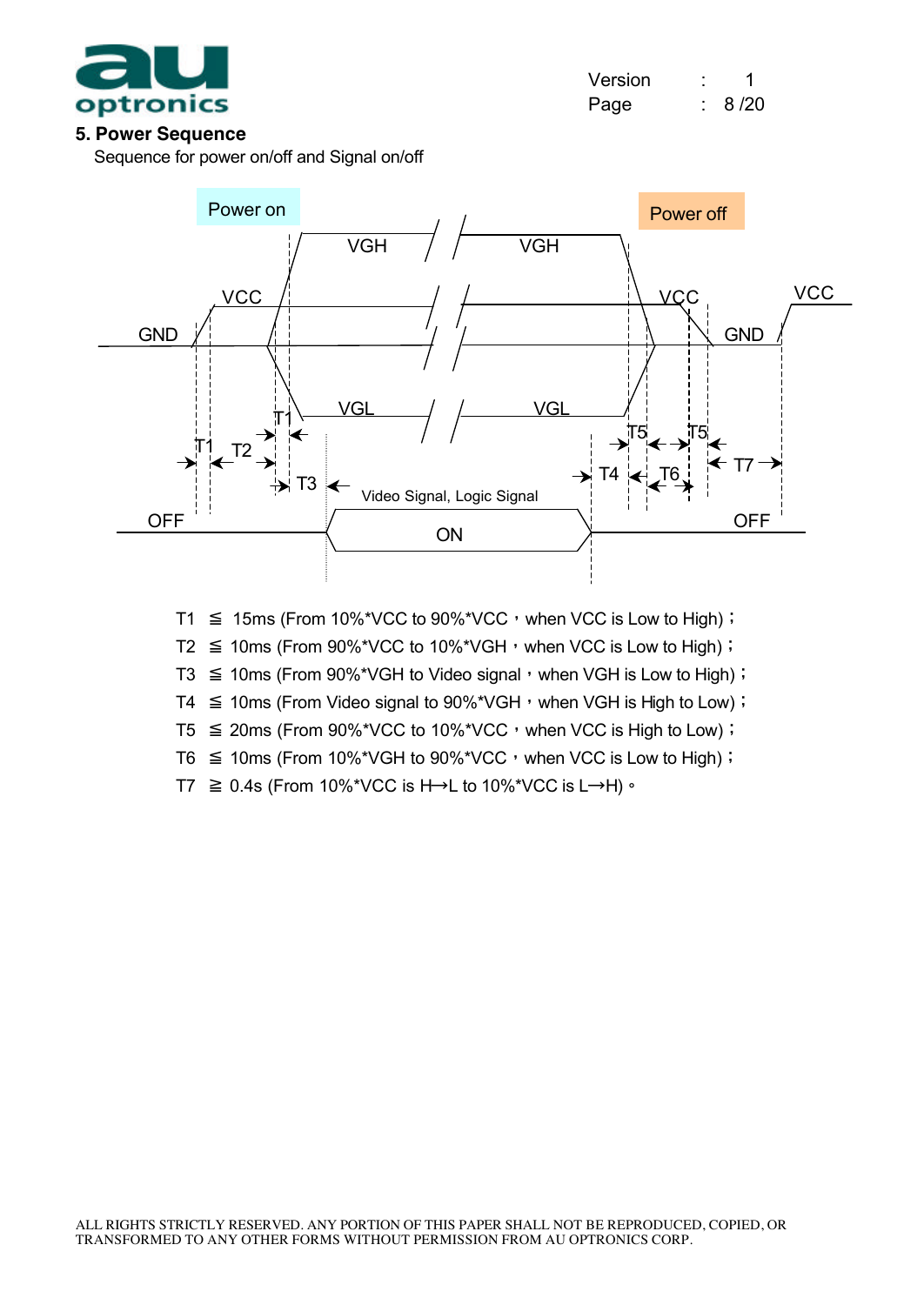

| Version |      |
|---------|------|
| Page    | 8/20 |

#### **5. Power Sequence**

Sequence for power on/off and Signal on/off



- T1  $\leq$  15ms (From 10%\*VCC to 90%\*VCC, when VCC is Low to High);
- T2  $\leq$  10ms (From 90%\*VCC to 10%\*VGH, when VCC is Low to High);
- T3  $\leq$  10ms (From 90%\*VGH to Video signal, when VGH is Low to High);
- T4  $\leq$  10ms (From Video signal to 90%\*VGH, when VGH is High to Low);
- $T5 \le 20$ ms (From 90%\*VCC to 10%\*VCC, when VCC is High to Low);
- T6  $\leq$  10ms (From 10%\*VGH to 90%\*VCC, when VCC is Low to High);
- T7  $\geq$  0.4s (From 10%\*VCC is H→L to 10%\*VCC is L→H)  $\cdot$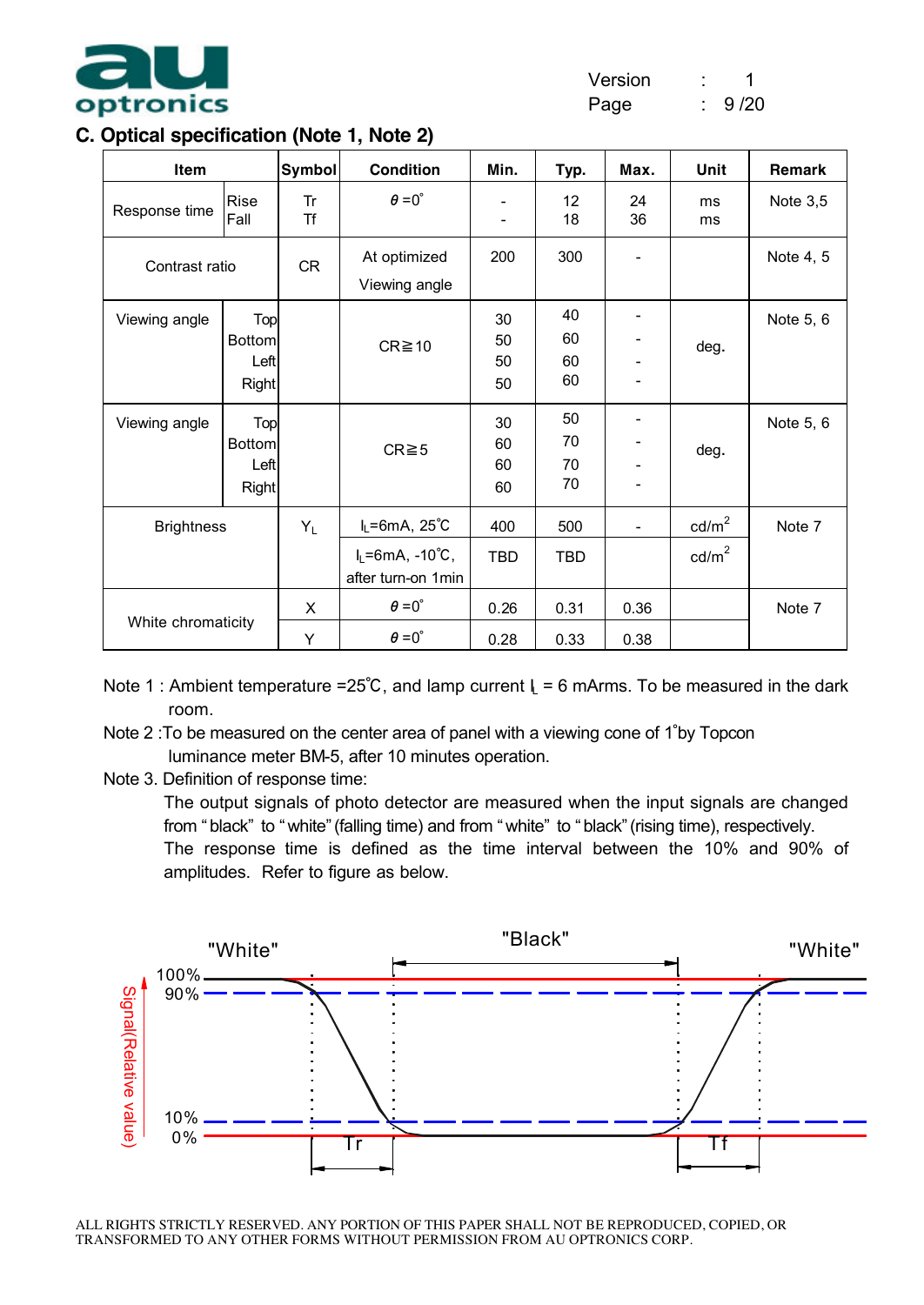

Page : 9/20

#### **C. Optical specification (Note 1, Note 2)**

| Item               |                                              | <b>Symbol</b>   | <b>Condition</b>                                                 | Min.                 | Typ.                 | Max.                     | Unit                               | Remark     |
|--------------------|----------------------------------------------|-----------------|------------------------------------------------------------------|----------------------|----------------------|--------------------------|------------------------------------|------------|
| Response time      | Rise<br>Fall                                 | Tr<br><b>Tf</b> | $\theta = 0^{\circ}$                                             |                      | 12<br>18             | 24<br>36                 | ms<br>ms                           | Note $3,5$ |
| Contrast ratio     |                                              | <b>CR</b>       | At optimized<br>Viewing angle                                    | 200                  | 300                  |                          |                                    | Note 4, 5  |
| Viewing angle      | Top<br><b>Bottom</b><br>Left<br><b>Right</b> |                 | $CR \ge 10$                                                      | 30<br>50<br>50<br>50 | 40<br>60<br>60<br>60 |                          | deg.                               | Note 5, 6  |
| Viewing angle      | Top<br><b>Bottom</b><br>Left<br><b>Right</b> |                 | $CR \ge 5$                                                       | 30<br>60<br>60<br>60 | 50<br>70<br>70<br>70 |                          | deg.                               | Note 5, 6  |
| <b>Brightness</b>  |                                              | $Y_L$           | $I_L = 6mA$ , 25°C<br>$I_L = 6mA$ , -10°C,<br>after turn-on 1min | 400<br><b>TBD</b>    | 500<br><b>TBD</b>    | $\overline{\phantom{a}}$ | $\text{cd/m}^2$<br>$\text{cd/m}^2$ | Note 7     |
| White chromaticity |                                              | X<br>Y          | $\theta = 0^\circ$<br>$\theta = 0^{\circ}$                       | 0.26<br>0.28         | 0.31<br>0.33         | 0.36<br>0.38             |                                    | Note 7     |

Note 1 : Ambient temperature =25°C, and lamp current  $I_1 = 6$  mArms. To be measured in the dark room.

- Note 2 :To be measured on the center area of panel with a viewing cone of 1∘by Topcon luminance meter BM-5, after 10 minutes operation.
- Note 3. Definition of response time:

The output signals of photo detector are measured when the input signals are changed from " black" to " white" (falling time) and from " white" to " black" (rising time), respectively. The response time is defined as the time interval between the 10% and 90% of amplitudes. Refer to figure as below.

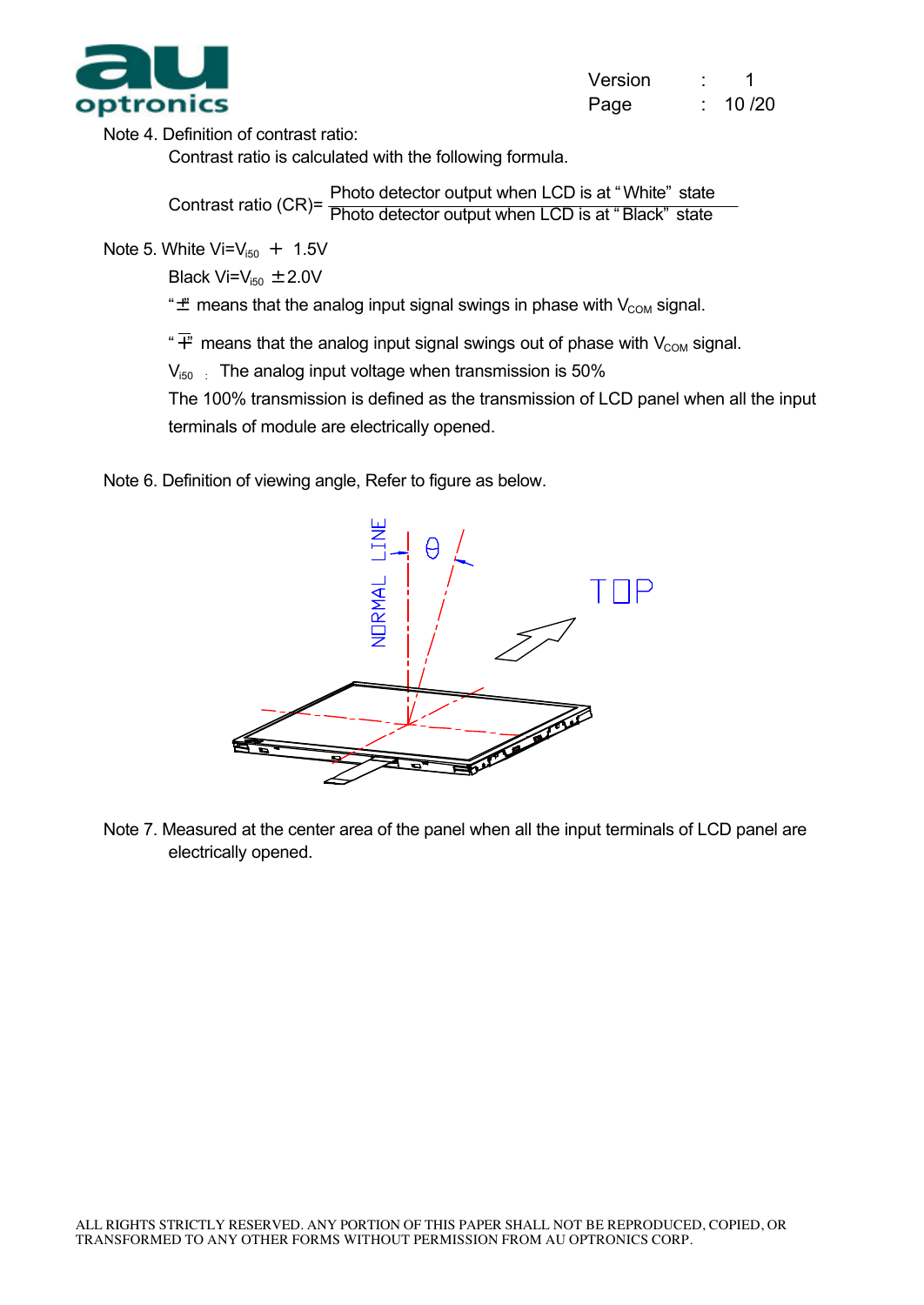

| Version |       |
|---------|-------|
| Page    | 10/20 |

Note 4. Definition of contrast ratio:

Contrast ratio is calculated with the following formula.

Contrast ratio (CR)= Photo detector output when LCD is at " White" state Photo detector output when LCD is at " Black" state

Note 5. White  $Vi = V_{150} + 1.5V$ 

Black  $Vi=V_{150} \pm 2.0V$ 

" $\ddot{\mathbf{\mu}}$  means that the analog input signal swings in phase with  $V_{COM}$  signal.

 $\overline{f}$  means that the analog input signal swings out of phase with V<sub>COM</sub> signal.

 $V_{150}$  : The analog input voltage when transmission is 50%

The 100% transmission is defined as the transmission of LCD panel when all the input terminals of module are electrically opened.

Note 6. Definition of viewing angle, Refer to figure as below.



Note 7. Measured at the center area of the panel when all the input terminals of LCD panel are electrically opened.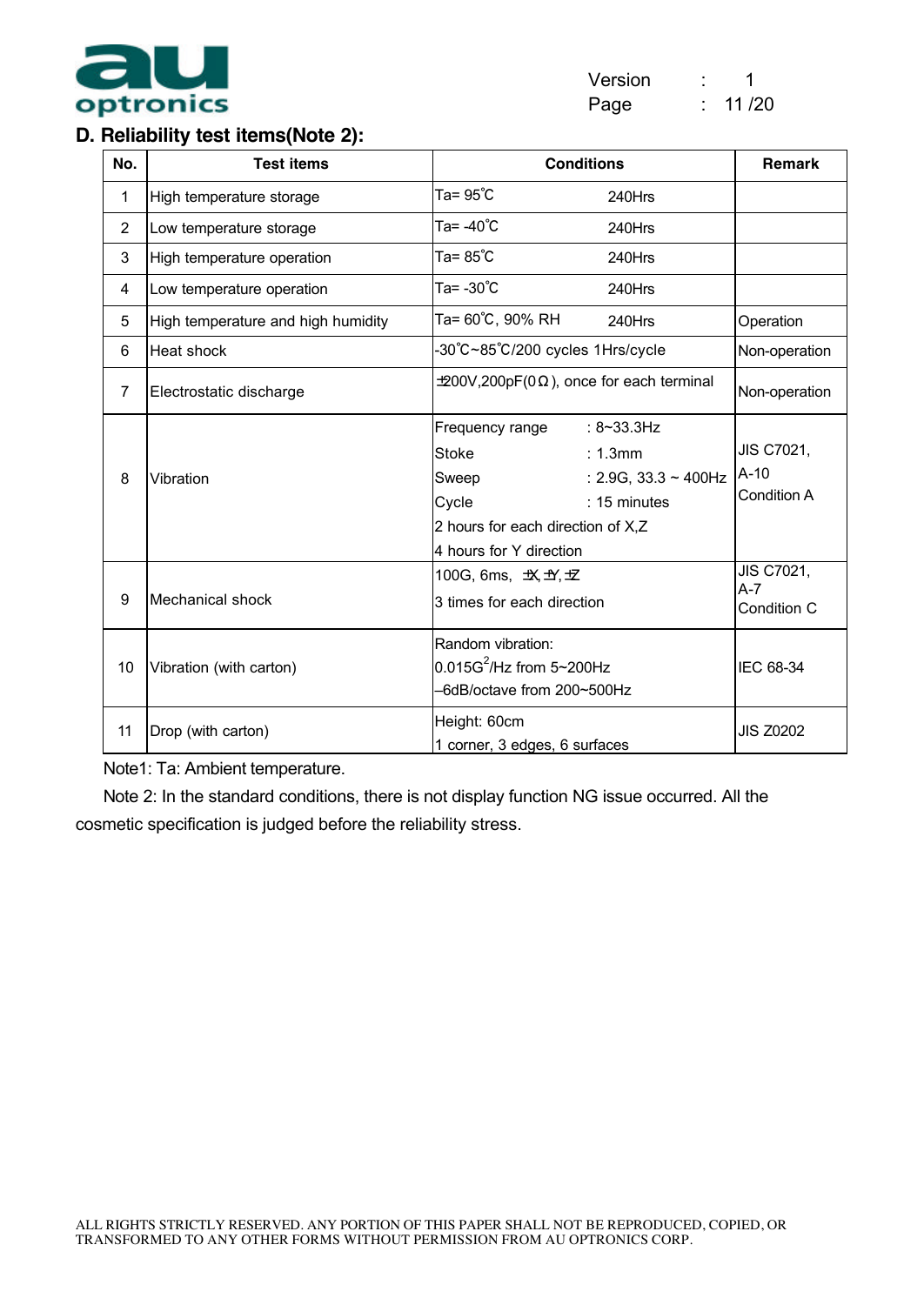

#### **D. Reliability test items(Note 2):**

| No.            | <b>Test items</b>                  | <b>Conditions</b>                                                                                                                                                                            | <b>Remark</b>                       |
|----------------|------------------------------------|----------------------------------------------------------------------------------------------------------------------------------------------------------------------------------------------|-------------------------------------|
| 1              | High temperature storage           | Ta= 95°C<br>240Hrs                                                                                                                                                                           |                                     |
| $\overline{2}$ | Low temperature storage            | Ta= -40°C<br>240Hrs                                                                                                                                                                          |                                     |
| 3              | High temperature operation         | Ta= 85°C<br>240Hrs                                                                                                                                                                           |                                     |
| 4              | Low temperature operation          | Ta= -30°C<br>240Hrs                                                                                                                                                                          |                                     |
| 5              | High temperature and high humidity | Ta= 60°C, 90% RH<br>240Hrs                                                                                                                                                                   | Operation                           |
| 6              | Heat shock                         | -30°C~85°C/200 cycles 1Hrs/cycle                                                                                                                                                             | Non-operation                       |
| $\overline{7}$ | Electrostatic discharge            | $\pm$ 200V,200pF(0 $\Omega$ ), once for each terminal                                                                                                                                        | Non-operation                       |
| 8              | Vibration                          | Frequency range<br>: $8 - 33.3$ Hz<br><b>Stoke</b><br>: 1.3mm<br>: 2.9G, 33.3 $\sim$ 400Hz<br>Sweep<br>: 15 minutes<br>Cycle<br>2 hours for each direction of X,Z<br>4 hours for Y direction | JIS C7021,<br>$A-10$<br>Condition A |
| 9              | <b>Mechanical shock</b>            | 100G, 6ms, 坎出土<br>3 times for each direction                                                                                                                                                 | JIS C7021,<br>$A-7$<br>Condition C  |
| 10             | Vibration (with carton)            | Random vibration:<br>$0.015G^2$ /Hz from 5~200Hz<br>-6dB/octave from 200~500Hz                                                                                                               | IEC 68-34                           |
| 11             | Drop (with carton)                 | Height: 60cm<br>1 corner, 3 edges, 6 surfaces                                                                                                                                                | <b>JIS Z0202</b>                    |

Note1: Ta: Ambient temperature.

Note 2: In the standard conditions, there is not display function NG issue occurred. All the cosmetic specification is judged before the reliability stress.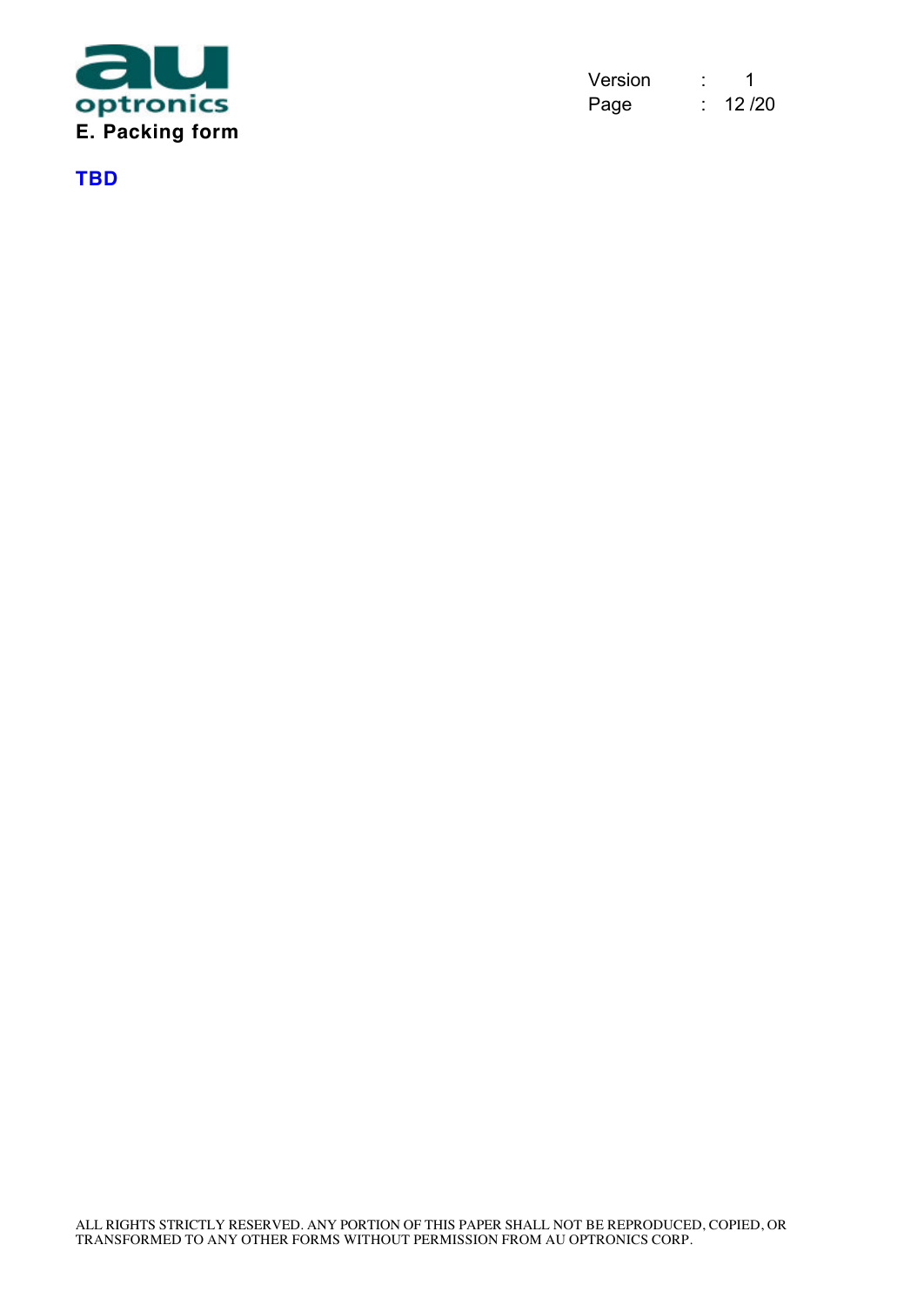

| Version |       |
|---------|-------|
| Page    | 12/20 |

**TBD**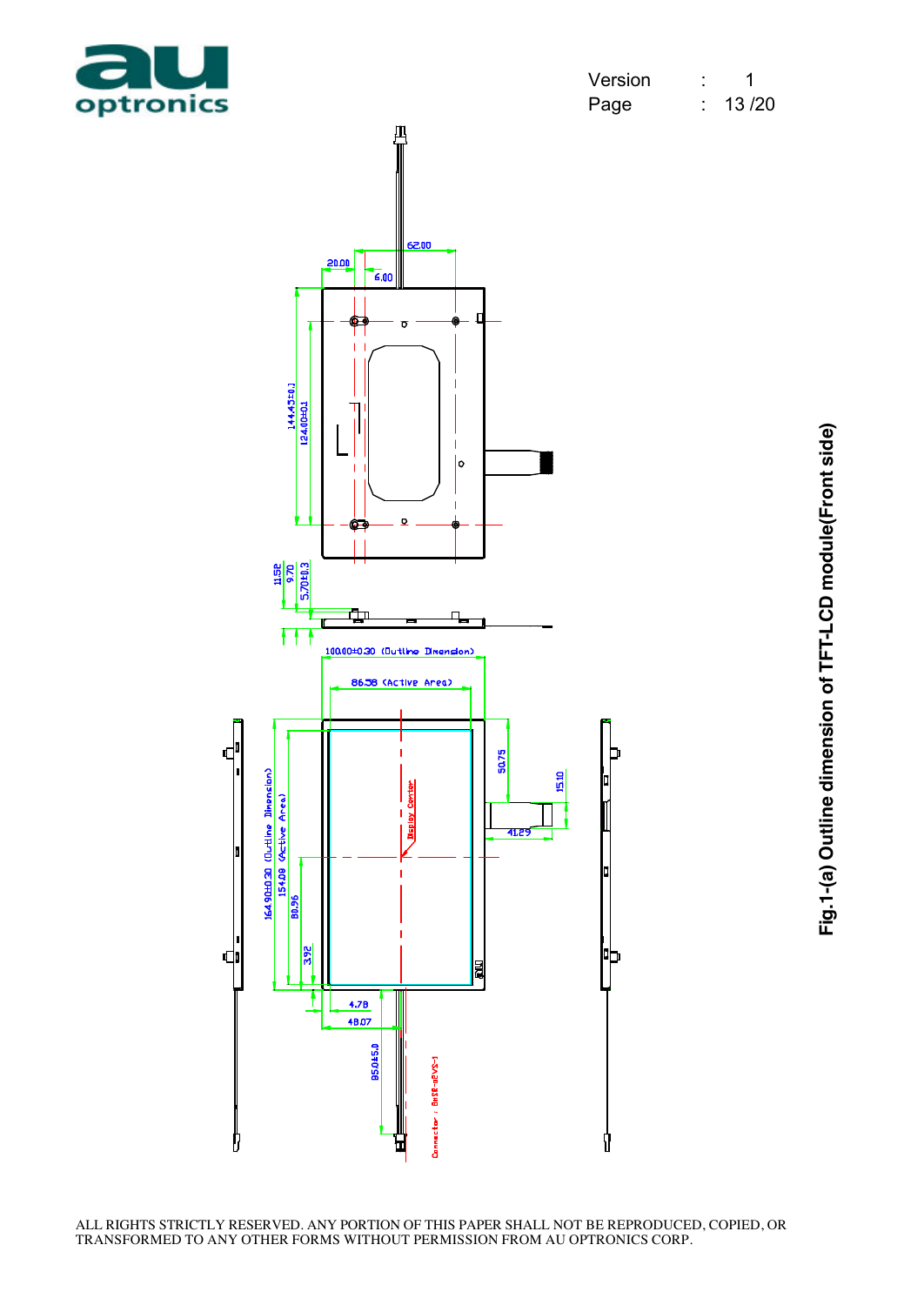

| Version |       |
|---------|-------|
| Page    | 13/20 |



Fig.1-(a) Outline dimension of TFT-LCD module(Front side) **Fig.1-(a) Outline dimension of TFT-LCD module(Front side)**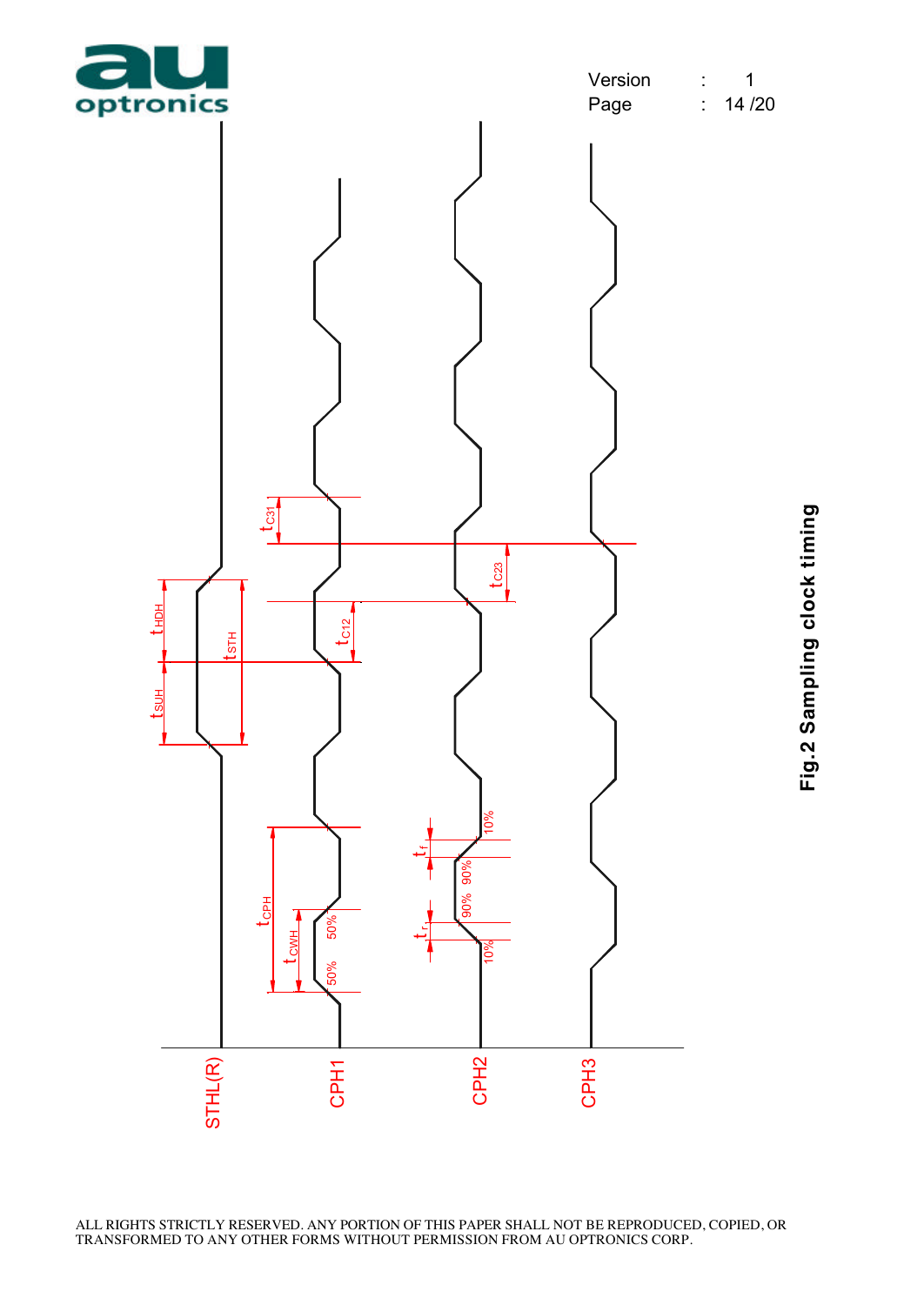

Fig.2 Sampling clock timing **Fig.2 Sampling clock timing**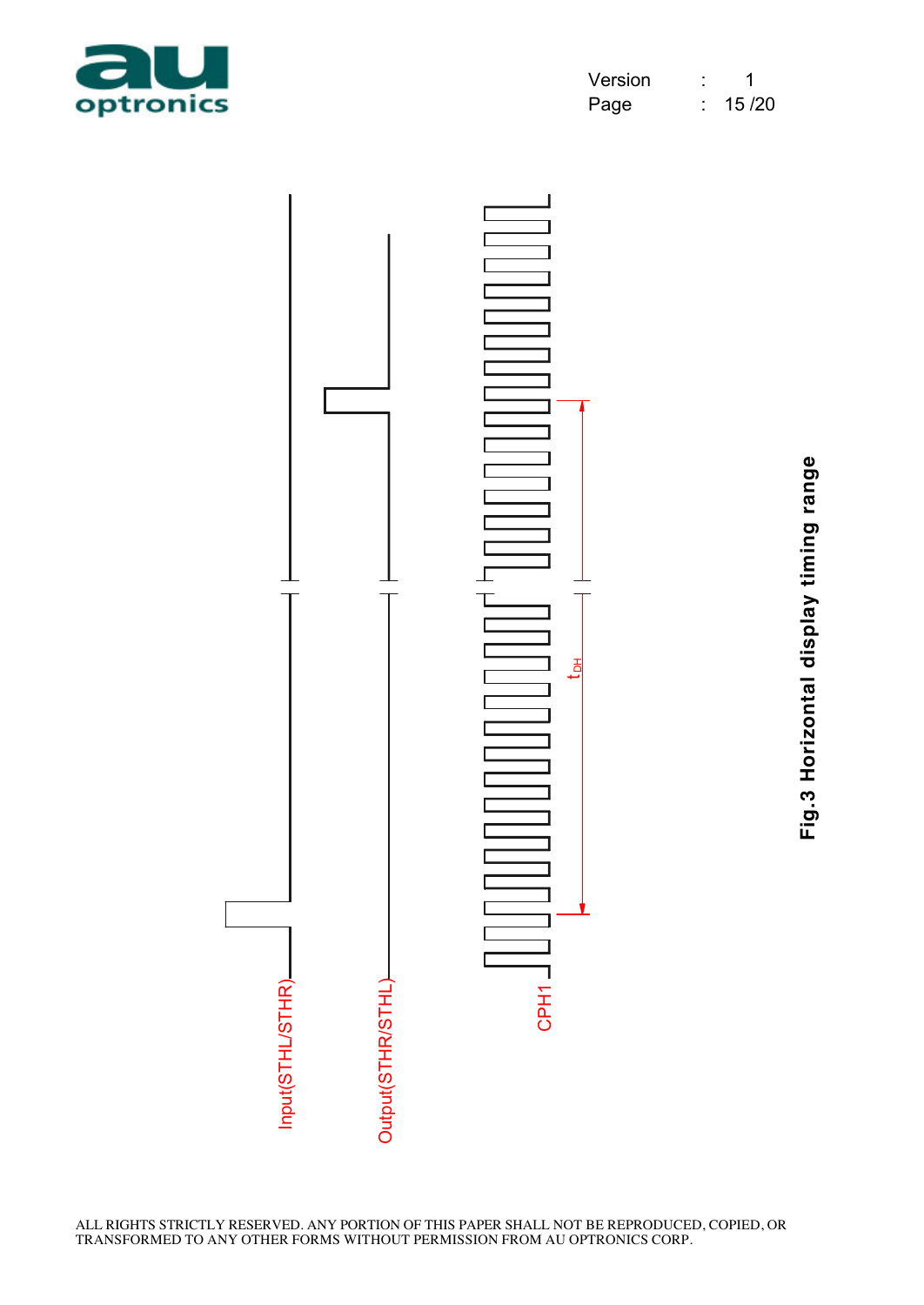

| Version |       |
|---------|-------|
| Page    | 15/20 |



Fig.3 Horizontal display timing range **Fig.3 Horizontal display timing range**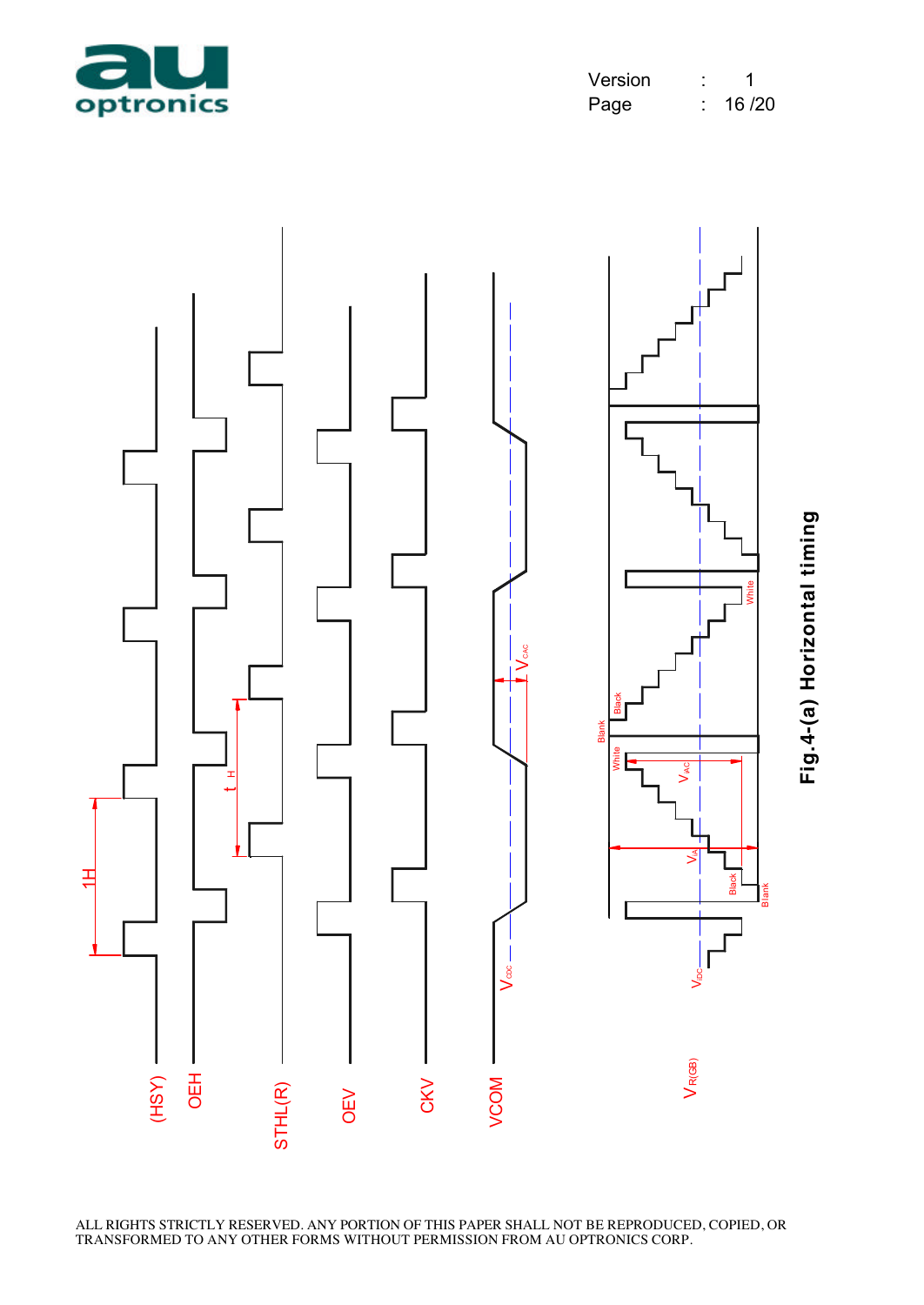



ALL RIGHTS STRICTLY RESERVED. ANY PORTION OF THIS PAPER SHALL NOT BE REPRODUCED, COPIED, OR TRANSFORMED TO ANY OTHER FORMS WITHOUT PERMISSION FROM AU OPTRONICS CORP.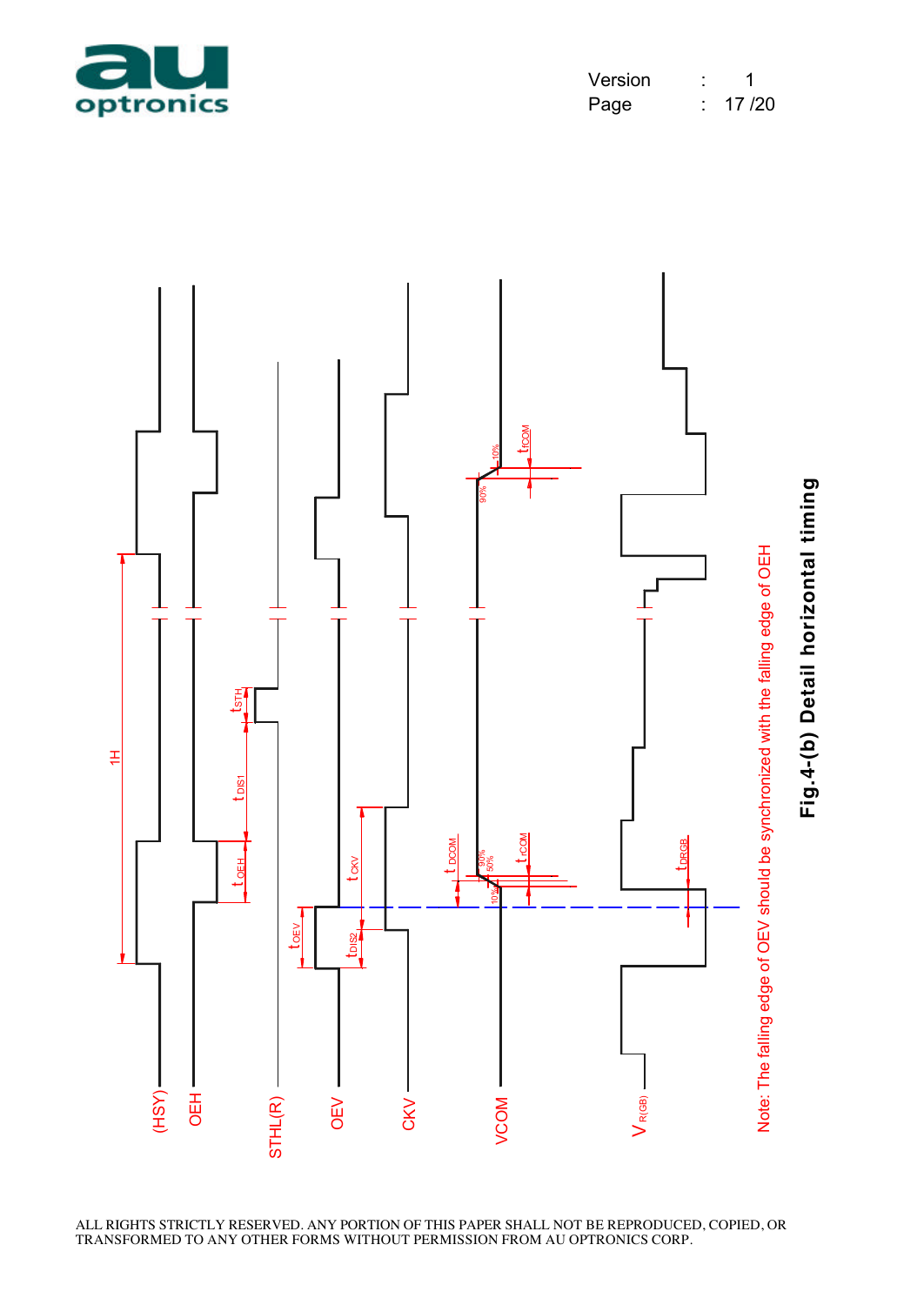

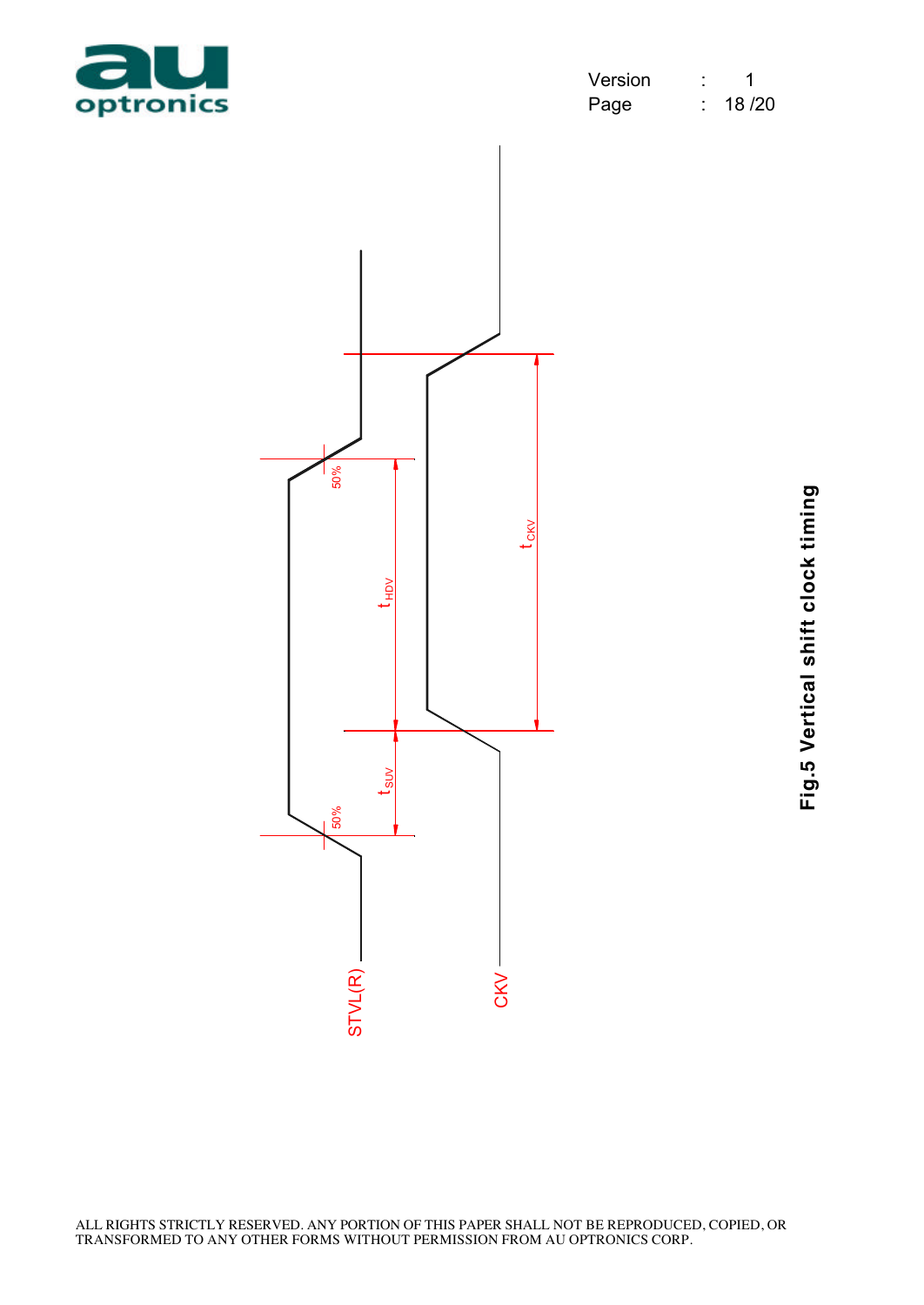

| Version | 1     |
|---------|-------|
| Page    | 18/20 |



Fig.5 Vertical shift clock timing **Fig.5 Vertical shift clock timing**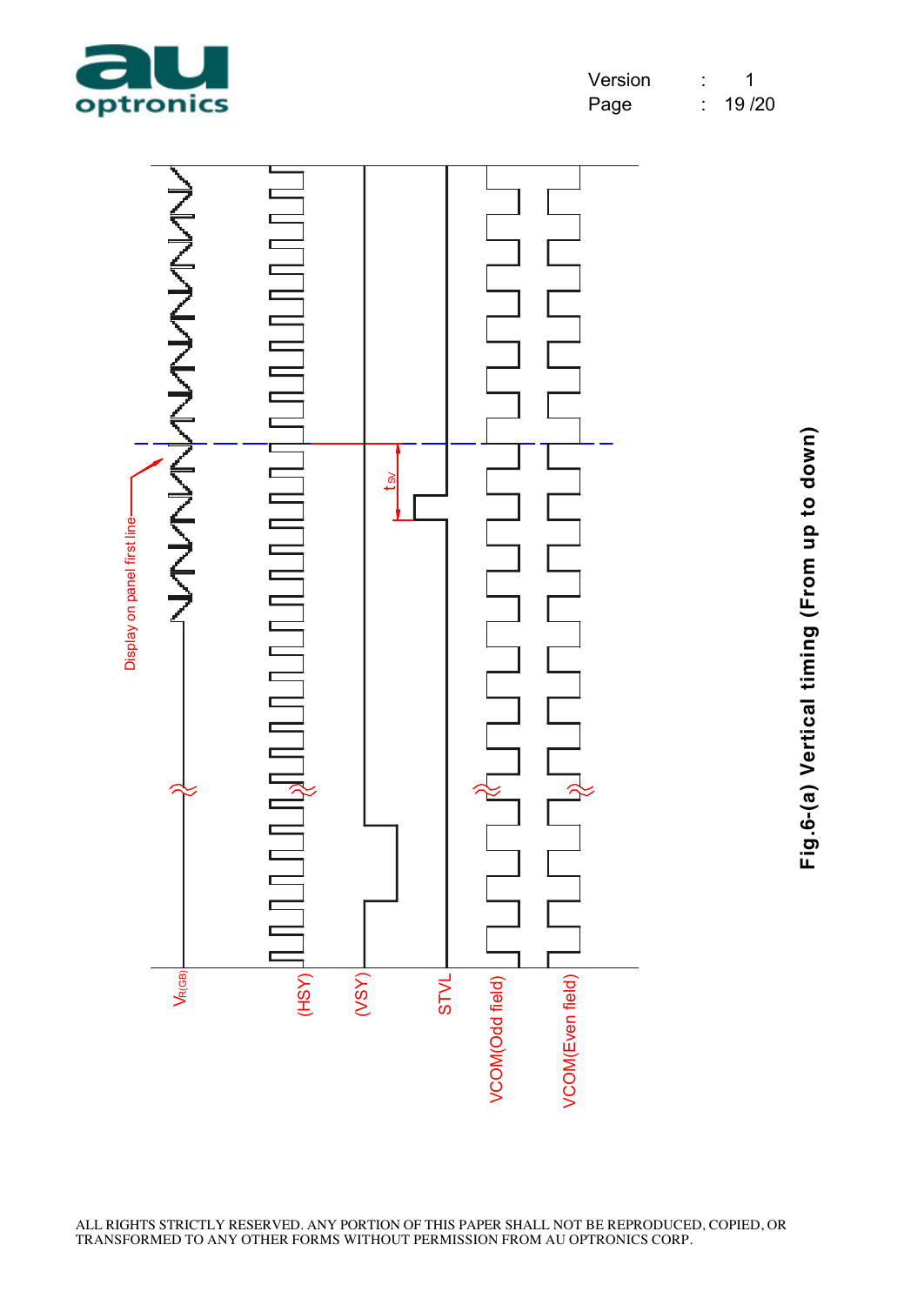



Fig.6-(a) Vertical timing (From up to down) **Fig.6-(a) Vertical timing (From up to down)**